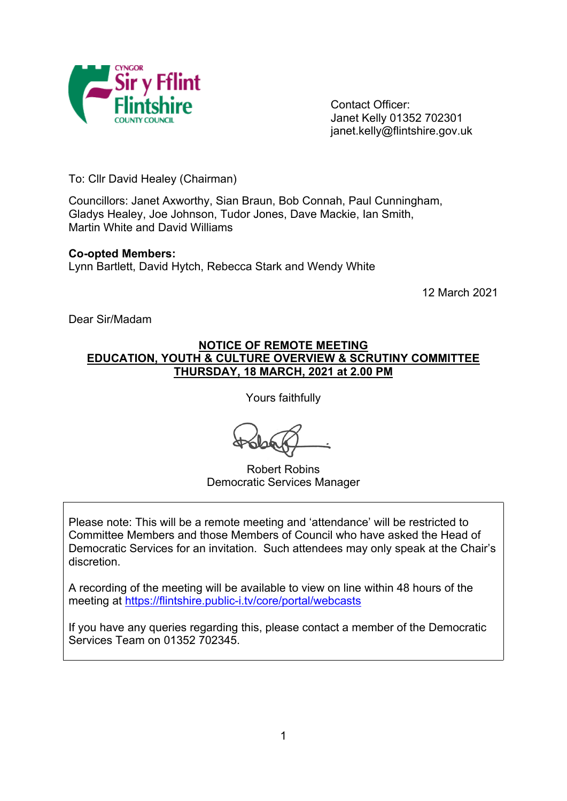

Contact Officer: Janet Kelly 01352 702301 janet.kelly@flintshire.gov.uk

To: Cllr David Healey (Chairman)

Councillors: Janet Axworthy, Sian Braun, Bob Connah, Paul Cunningham, Gladys Healey, Joe Johnson, Tudor Jones, Dave Mackie, Ian Smith, Martin White and David Williams

#### **Co-opted Members:**

Lynn Bartlett, David Hytch, Rebecca Stark and Wendy White

12 March 2021

Dear Sir/Madam

### **NOTICE OF REMOTE MEETING EDUCATION, YOUTH & CULTURE OVERVIEW & SCRUTINY COMMITTEE THURSDAY, 18 MARCH, 2021 at 2.00 PM**

Yours faithfully

Robert Robins Democratic Services Manager

Please note: This will be a remote meeting and 'attendance' will be restricted to Committee Members and those Members of Council who have asked the Head of Democratic Services for an invitation. Such attendees may only speak at the Chair's discretion.

A recording of the meeting will be available to view on line within 48 hours of the meeting at <https://flintshire.public-i.tv/core/portal/webcasts>

If you have any queries regarding this, please contact a member of the Democratic Services Team on 01352 702345.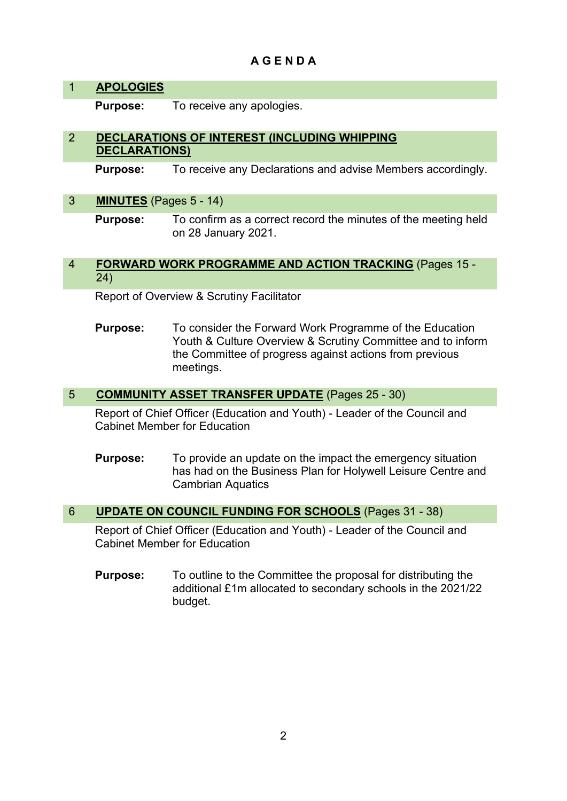# **A G E N D A**

# 1 **APOLOGIES**

**Purpose:** To receive any apologies.

## 2 **DECLARATIONS OF INTEREST (INCLUDING WHIPPING DECLARATIONS)**

**Purpose:** To receive any Declarations and advise Members accordingly.

## 3 **MINUTES** (Pages 5 - 14)

**Purpose:** To confirm as a correct record the minutes of the meeting held on 28 January 2021.

### 4 **FORWARD WORK PROGRAMME AND ACTION TRACKING** (Pages 15 - 24)

Report of Overview & Scrutiny Facilitator

**Purpose:** To consider the Forward Work Programme of the Education Youth & Culture Overview & Scrutiny Committee and to inform the Committee of progress against actions from previous meetings.

### 5 **COMMUNITY ASSET TRANSFER UPDATE** (Pages 25 - 30)

Report of Chief Officer (Education and Youth) - Leader of the Council and Cabinet Member for Education

**Purpose:** To provide an update on the impact the emergency situation has had on the Business Plan for Holywell Leisure Centre and Cambrian Aquatics

## 6 **UPDATE ON COUNCIL FUNDING FOR SCHOOLS** (Pages 31 - 38)

Report of Chief Officer (Education and Youth) - Leader of the Council and Cabinet Member for Education

**Purpose:** To outline to the Committee the proposal for distributing the additional £1m allocated to secondary schools in the 2021/22 budget.